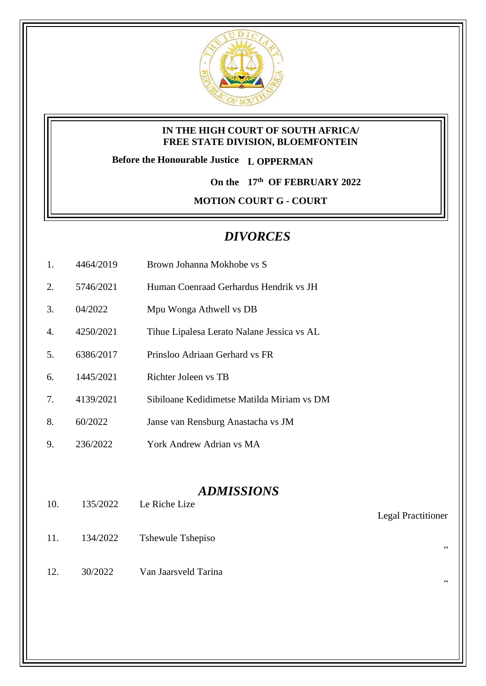

#### **IN THE HIGH COURT OF SOUTH AFRICA/ FREE STATE DIVISION, BLOEMFONTEIN**

**Before the Honourable Justice L OPPERMAN**

**On the 17th OF FEBRUARY 2022**

**MOTION COURT G - COURT** 

# *DIVORCES*

- 1. 4464/2019 Brown Johanna Mokhobe vs S
- 2. 5746/2021 Human Coenraad Gerhardus Hendrik vs JH
- 3. 04/2022 Mpu Wonga Athwell vs DB
- 4. 4250/2021 Tihue Lipalesa Lerato Nalane Jessica vs AL
- 5. 6386/2017 Prinsloo Adriaan Gerhard vs FR
- 6. 1445/2021 Richter Joleen vs TB
- 7. 4139/2021 Sibiloane Kedidimetse Matilda Miriam vs DM
- 8. 60/2022 Janse van Rensburg Anastacha vs JM
- 9. 236/2022 York Andrew Adrian vs MA

### *ADMISSIONS*

Legal Practitioner

"

"

- 10. 135/2022 Le Riche Lize
- 11. 134/2022 Tshewule Tshepiso
- 12. 30/2022 Van Jaarsveld Tarina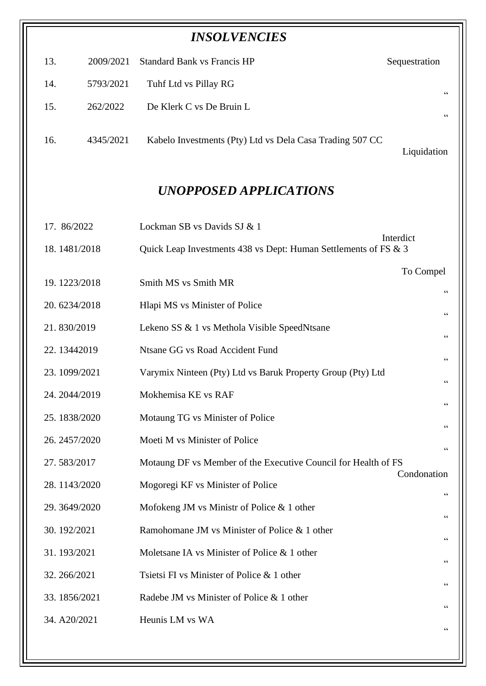|              |               | <b>INSOLVENCIES</b>                                             |                |
|--------------|---------------|-----------------------------------------------------------------|----------------|
| 13.          | 2009/2021     | <b>Standard Bank vs Francis HP</b>                              | Sequestration  |
| 14.          | 5793/2021     | Tuhf Ltd vs Pillay RG                                           | 66             |
| 15.          | 262/2022      | De Klerk C vs De Bruin L                                        | 66             |
| 16.          | 4345/2021     | Kabelo Investments (Pty) Ltd vs Dela Casa Trading 507 CC        | Liquidation    |
|              |               | <b>UNOPPOSED APPLICATIONS</b>                                   |                |
| 17. 86/2022  |               | Lockman SB vs Davids SJ & 1                                     |                |
|              | 18.1481/2018  | Quick Leap Investments 438 vs Dept: Human Settlements of FS & 3 | Interdict      |
|              | 19.1223/2018  | Smith MS vs Smith MR                                            | To Compel      |
|              | 20.6234/2018  | Hlapi MS vs Minister of Police                                  | 66             |
| 21.830/2019  |               | Lekeno SS & 1 vs Methola Visible SpeedNtsane                    | 66             |
|              | 22.13442019   | Ntsane GG vs Road Accident Fund                                 | $\,$ 6 $\,$    |
|              | 23.1099/2021  | Varymix Ninteen (Pty) Ltd vs Baruk Property Group (Pty) Ltd     |                |
|              | 24. 2044/2019 | Mokhemisa KE vs RAF                                             | 66             |
|              | 25.1838/2020  | Motaung TG vs Minister of Police                                | 66             |
|              | 26. 2457/2020 | Moeti M vs Minister of Police                                   | 66             |
| 27.583/2017  |               | Motaung DF vs Member of the Executive Council for Health of FS  | $\,$ 6 $\,$    |
|              | 28.1143/2020  | Mogoregi KF vs Minister of Police                               | Condonation    |
|              | 29.3649/2020  | Mofokeng JM vs Ministr of Police $& 1$ other                    | $\,$ 6 $\,$    |
| 30. 192/2021 |               | Ramohomane JM vs Minister of Police & 1 other                   | 66             |
| 31.193/2021  |               | Moletsane IA vs Minister of Police & 1 other                    | 66             |
| 32.266/2021  |               | Tsietsi FI vs Minister of Police & 1 other                      | $\mbox{\bf G}$ |
|              | 33.1856/2021  | Radebe JM vs Minister of Police & 1 other                       | 66             |
| 34. A20/2021 |               | Heunis LM vs WA                                                 | 66             |
|              |               |                                                                 | 66             |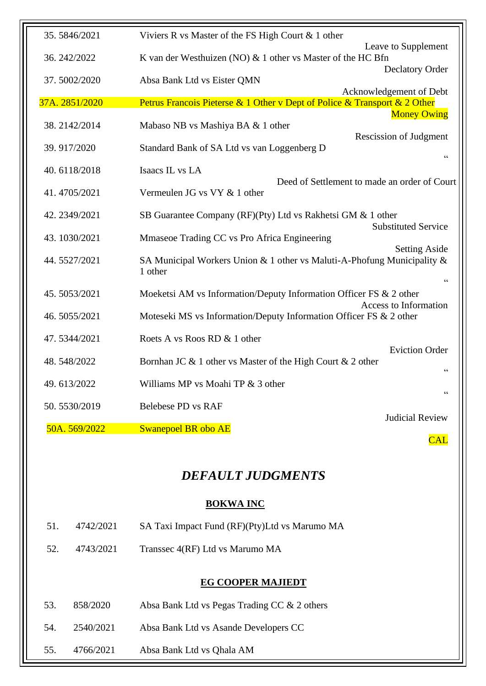| 35.5846/2021   | Viviers R vs Master of the FS High Court & 1 other                                 |                                                |
|----------------|------------------------------------------------------------------------------------|------------------------------------------------|
| 36.242/2022    | K van der Westhuizen (NO) & 1 other vs Master of the HC Bfn                        | Leave to Supplement                            |
|                |                                                                                    | <b>Declatory Order</b>                         |
| 37.5002/2020   | Absa Bank Ltd vs Eister QMN                                                        | Acknowledgement of Debt                        |
| 37A. 2851/2020 | Petrus Francois Pieterse & 1 Other v Dept of Police & Transport & 2 Other          |                                                |
| 38.2142/2014   | Mabaso NB vs Mashiya BA & 1 other                                                  | <b>Money Owing</b>                             |
| 39.917/2020    | Standard Bank of SA Ltd vs van Loggenberg D                                        | <b>Rescission of Judgment</b><br>$\zeta \zeta$ |
| 40.6118/2018   | Isaacs IL vs LA                                                                    |                                                |
| 41.4705/2021   | Deed of Settlement to made an order of Court<br>Vermeulen JG vs VY & 1 other       |                                                |
| 42.2349/2021   | SB Guarantee Company (RF)(Pty) Ltd vs Rakhetsi GM & 1 other                        |                                                |
| 43.1030/2021   | Mmaseoe Trading CC vs Pro Africa Engineering                                       | <b>Substituted Service</b>                     |
| 44.5527/2021   | SA Municipal Workers Union & 1 other vs Maluti-A-Phofung Municipality &<br>1 other | <b>Setting Aside</b><br>$\zeta$ $\zeta$        |
| 45.5053/2021   | Moeketsi AM vs Information/Deputy Information Officer FS & 2 other                 |                                                |
| 46.5055/2021   | Moteseki MS vs Information/Deputy Information Officer FS & 2 other                 | Access to Information                          |
| 47.5344/2021   | Roets A vs Roos RD & 1 other                                                       |                                                |
| 48.548/2022    | Bornhan JC & 1 other vs Master of the High Court & 2 other                         | <b>Eviction Order</b><br>$\zeta$ $\zeta$       |
| 49.613/2022    | Williams MP vs Moahi TP & 3 other                                                  |                                                |
| 50.5530/2019   | <b>Belebese PD vs RAF</b>                                                          | $\zeta$ $\zeta$                                |
| 50A. 569/2022  | Swanepoel BR obo AE                                                                | <b>Judicial Review</b>                         |
|                |                                                                                    | <b>CAL</b>                                     |

## *DEFAULT JUDGMENTS*

#### **BOKWA INC**

| 51. | 4742/2021 | SA Taxi Impact Fund (RF)(Pty)Ltd vs Marumo MA |
|-----|-----------|-----------------------------------------------|
|     |           |                                               |

## 52. 4743/2021 Transsec 4(RF) Ltd vs Marumo MA

#### **EG COOPER MAJIEDT**

| 53. | 858/2020  | Absa Bank Ltd vs Pegas Trading CC & 2 others |
|-----|-----------|----------------------------------------------|
| 54. | 2540/2021 | Absa Bank Ltd vs Asande Developers CC        |
| 55. | 4766/2021 | Absa Bank Ltd vs Qhala AM                    |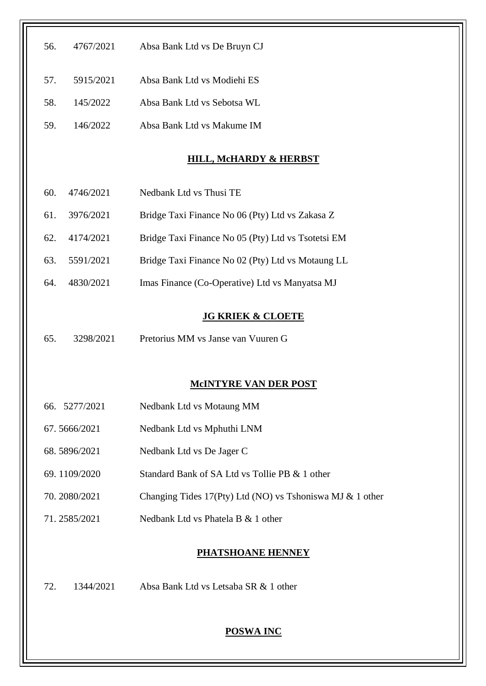| 56.<br>4767/2021 | Absa Bank Ltd vs De Bruyn CJ                              |
|------------------|-----------------------------------------------------------|
| 57.<br>5915/2021 | Absa Bank Ltd vs Modiehi ES                               |
| 58.<br>145/2022  | Absa Bank Ltd vs Sebotsa WL                               |
| 146/2022<br>59.  | Absa Bank Ltd vs Makume IM                                |
|                  | <b>HILL, McHARDY &amp; HERBST</b>                         |
| 60.<br>4746/2021 | Nedbank Ltd vs Thusi TE                                   |
| 61.<br>3976/2021 | Bridge Taxi Finance No 06 (Pty) Ltd vs Zakasa Z           |
| 62.<br>4174/2021 | Bridge Taxi Finance No 05 (Pty) Ltd vs Tsotetsi EM        |
| 63.<br>5591/2021 | Bridge Taxi Finance No 02 (Pty) Ltd vs Motaung LL         |
| 4830/2021<br>64. | Imas Finance (Co-Operative) Ltd vs Manyatsa MJ            |
|                  | <b>JG KRIEK &amp; CLOETE</b>                              |
| 65.<br>3298/2021 | Pretorius MM vs Janse van Vuuren G                        |
|                  | <b>MCINTYRE VAN DER POST</b>                              |
| 66. 5277/2021    | Nedbank Ltd vs Motaung MM                                 |
| 67.5666/2021     | Nedbank Ltd vs Mphuthi LNM                                |
| 68.5896/2021     | Nedbank Ltd vs De Jager C                                 |
| 69.1109/2020     | Standard Bank of SA Ltd vs Tollie PB & 1 other            |
| 70.2080/2021     | Changing Tides 17(Pty) Ltd (NO) vs Tshoniswa MJ & 1 other |
| 71.2585/2021     | Nedbank Ltd vs Phatela B & 1 other                        |
|                  | <b>PHATSHOANE HENNEY</b>                                  |
| 72.<br>1344/2021 | Absa Bank Ltd vs Letsaba SR & 1 other                     |
|                  | <b>POSWA INC</b>                                          |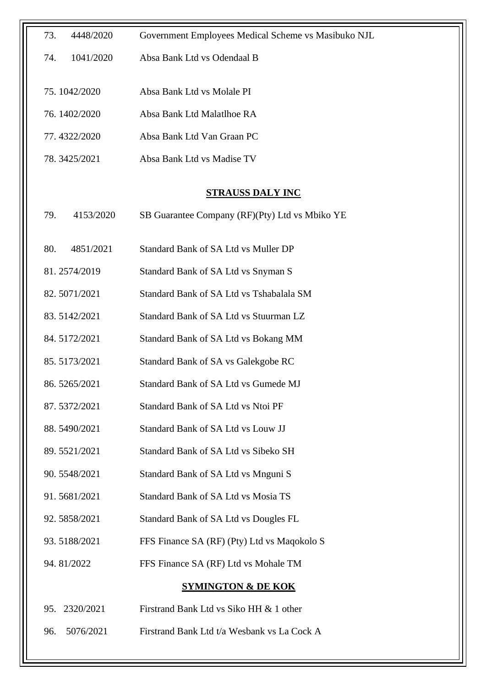| 73.<br>4448/2020 | Government Employees Medical Scheme vs Masibuko NJL |
|------------------|-----------------------------------------------------|
| 1041/2020<br>74. | Absa Bank Ltd vs Odendaal B                         |
| 75.1042/2020     | Absa Bank Ltd vs Molale PI                          |
| 76.1402/2020     | Absa Bank Ltd Malatlhoe RA                          |
|                  |                                                     |
| 77.4322/2020     | Absa Bank Ltd Van Graan PC                          |
| 78.3425/2021     | Absa Bank Ltd vs Madise TV                          |
|                  | <b>STRAUSS DALY INC</b>                             |
| 4153/2020<br>79. | SB Guarantee Company (RF)(Pty) Ltd vs Mbiko YE      |
| 80.<br>4851/2021 | Standard Bank of SA Ltd vs Muller DP                |
|                  |                                                     |
| 81.2574/2019     | Standard Bank of SA Ltd vs Snyman S                 |
| 82.5071/2021     | Standard Bank of SA Ltd vs Tshabalala SM            |
| 83.5142/2021     | Standard Bank of SA Ltd vs Stuurman LZ              |
| 84.5172/2021     | Standard Bank of SA Ltd vs Bokang MM                |
| 85.5173/2021     | Standard Bank of SA vs Galekgobe RC                 |
| 86.5265/2021     | Standard Bank of SA Ltd vs Gumede MJ                |
| 87.5372/2021     | Standard Bank of SA Ltd vs Ntoi PF                  |
| 88.5490/2021     | Standard Bank of SA Ltd vs Louw JJ                  |
| 89.5521/2021     | Standard Bank of SA Ltd vs Sibeko SH                |
| 90.5548/2021     | Standard Bank of SA Ltd vs Mnguni S                 |
| 91.5681/2021     | <b>Standard Bank of SA Ltd vs Mosia TS</b>          |
| 92.5858/2021     | Standard Bank of SA Ltd vs Dougles FL               |
| 93.5188/2021     | FFS Finance SA (RF) (Pty) Ltd vs Maqokolo S         |
| 94.81/2022       | FFS Finance SA (RF) Ltd vs Mohale TM                |
|                  | <b>SYMINGTON &amp; DE KOK</b>                       |
| 2320/2021<br>95. | Firstrand Bank Ltd vs Siko HH & 1 other             |
| 5076/2021<br>96. | Firstrand Bank Ltd t/a Wesbank vs La Cock A         |
|                  |                                                     |